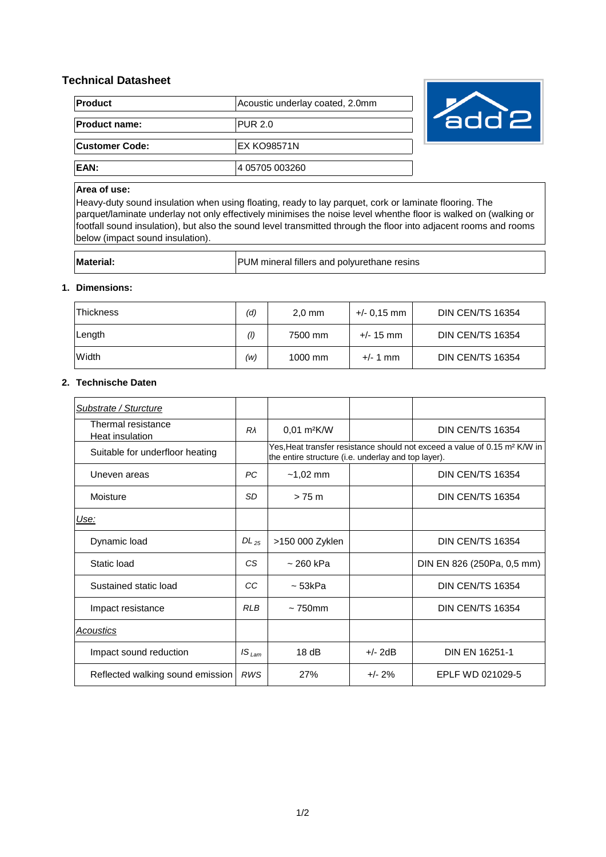# **Technical Datasheet**

| <b>Product</b>       | Acoustic underlay coated, 2.0mm |  |  |
|----------------------|---------------------------------|--|--|
| <b>Product name:</b> | <b>PUR 2.0</b>                  |  |  |
| Customer Code:       | <b>EX KO98571N</b>              |  |  |
| EAN:                 | 4 05705 003260                  |  |  |



## **Area of use:**

Heavy-duty sound insulation when using floating, ready to lay parquet, cork or laminate flooring. The parquet/laminate underlay not only effectively minimises the noise level whenthe floor is walked on (walking or footfall sound insulation), but also the sound level transmitted through the floor into adjacent rooms and rooms below (impact sound insulation).

| <b>Material</b> | PUM mineral fillers and polyurethane resins |
|-----------------|---------------------------------------------|

### **1. Dimensions:**

| <b>Thickness</b> | (d) | $2.0$ mm | +/- 0.15 mm | DIN CEN/TS 16354        |
|------------------|-----|----------|-------------|-------------------------|
| ∣Length          | (1) | 7500 mm  | $+/- 15$ mm | <b>DIN CEN/TS 16354</b> |
| Width            | (w) | 1000 mm  | $+/- 1$ mm  | DIN CEN/TS 16354        |

### **2. Technische Daten**

| Substrate / Sturcture                 |                   |                                                                                                                                              |           |                            |
|---------------------------------------|-------------------|----------------------------------------------------------------------------------------------------------------------------------------------|-----------|----------------------------|
| Thermal resistance<br>Heat insulation | Rλ                | $0.01$ m <sup>2</sup> K/W                                                                                                                    |           | DIN CEN/TS 16354           |
| Suitable for underfloor heating       |                   | Yes, Heat transfer resistance should not exceed a value of 0.15 m <sup>2</sup> K/W in<br>the entire structure (i.e. underlay and top layer). |           |                            |
| Uneven areas                          | PC.               | $-1,02$ mm                                                                                                                                   |           | <b>DIN CEN/TS 16354</b>    |
| Moisture                              | SD                | $> 75$ m                                                                                                                                     |           | DIN CEN/TS 16354           |
| Use:                                  |                   |                                                                                                                                              |           |                            |
| Dynamic load                          | $DL_{25}$         | >150 000 Zyklen                                                                                                                              |           | <b>DIN CEN/TS 16354</b>    |
| Static load                           | СS                | ~ 260 kPa                                                                                                                                    |           | DIN EN 826 (250Pa, 0,5 mm) |
| Sustained static load                 | CC                | $\sim$ 53kPa                                                                                                                                 |           | <b>DIN CEN/TS 16354</b>    |
| Impact resistance                     | <b>RLB</b>        | $\sim$ 750 $mm$                                                                                                                              |           | <b>DIN CEN/TS 16354</b>    |
| Acoustics                             |                   |                                                                                                                                              |           |                            |
| Impact sound reduction                | IS <sub>Lam</sub> | 18dB                                                                                                                                         | $+/- 2dB$ | <b>DIN EN 16251-1</b>      |
| Reflected walking sound emission      | <b>RWS</b>        | 27%                                                                                                                                          | $+/- 2%$  | EPLF WD 021029-5           |